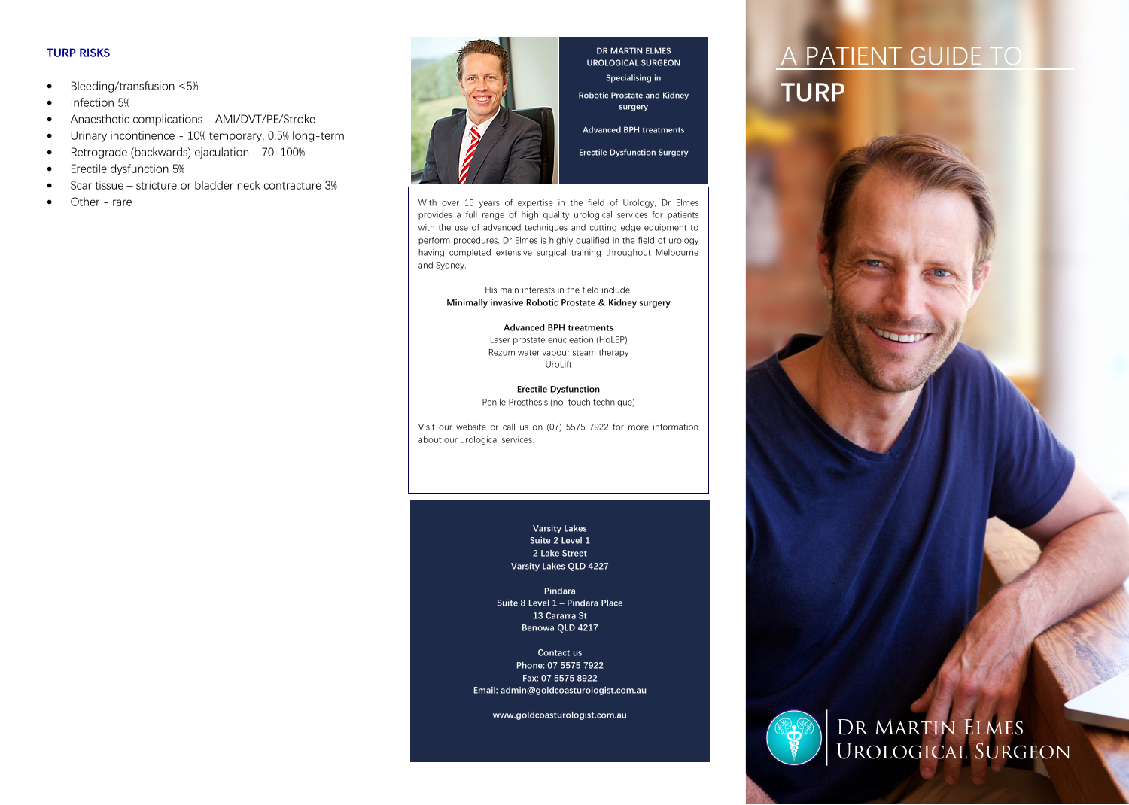### **TURP RISKS**

- Bleeding/transfusion <5%
- Infection 5%
- Anaesthetic complications AMI/DVT/PE/Stroke
- Urinary incontinence 10% temporary, 0.5% long-term
- Retrograde (backwards) ejaculation 70-100%
- Erectile dysfunction 5%
- Scar tissue stricture or bladder neck contracture 3%
- Other rare



**DR MARTIN ELMES UROLOGICAL SURGEON Specialising in Robotic Prostate and Kidney surgery Advanced BPH treatments**

**Erectile Dysfunction Surgery**

With over 15 years of expertise in the field of Urology, Dr Elmes provides a full range of high quality urological services for patients with the use of advanced techniques and cutting edge equipment to perform procedures. Dr Elmes is highly qualified in the field of urology having completed extensive surgical training throughout Melbourne and Sydney.

His main interests in the field include: **Minimally invasive Robotic Prostate & Kidney surgery**

### **Advanced BPH treatments**

Laser prostate enucleation (HoLEP) Rezum water vapour steam therapy UroLift

**Erectile Dysfunction**  Penile Prosthesis (no-touch technique)

Visit our website or call us on (07) 5575 7922 for more information about our urological services.

> **Varsity Lakes Suite 2 Level 1 2 Lake Street Varsity Lakes QLD 4227**

**Pindara Suite 8 Level 1 – Pindara Place 13 Cararra St Benowa QLD 4217**

**Contact us Phone: 07 5575 7922 Fax: 07 5575 8922 Email: admin@goldcoasturologist.com.au** 

**www.goldcoasturologist.com.au**





Dr Martin Elmes Urological Surgeon